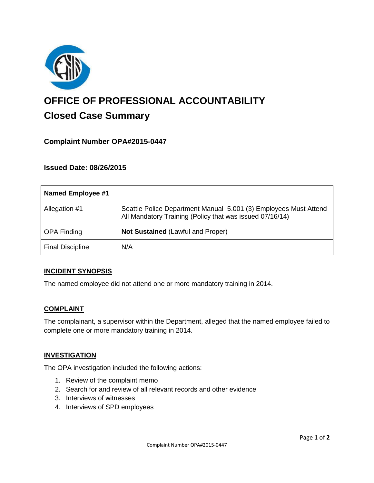

# **OFFICE OF PROFESSIONAL ACCOUNTABILITY Closed Case Summary**

# **Complaint Number OPA#2015-0447**

## **Issued Date: 08/26/2015**

| <b>Named Employee #1</b> |                                                                                                                              |
|--------------------------|------------------------------------------------------------------------------------------------------------------------------|
| Allegation #1            | Seattle Police Department Manual 5.001 (3) Employees Must Attend<br>All Mandatory Training (Policy that was issued 07/16/14) |
| <b>OPA Finding</b>       | Not Sustained (Lawful and Proper)                                                                                            |
| <b>Final Discipline</b>  | N/A                                                                                                                          |

#### **INCIDENT SYNOPSIS**

The named employee did not attend one or more mandatory training in 2014.

#### **COMPLAINT**

The complainant, a supervisor within the Department, alleged that the named employee failed to complete one or more mandatory training in 2014.

#### **INVESTIGATION**

The OPA investigation included the following actions:

- 1. Review of the complaint memo
- 2. Search for and review of all relevant records and other evidence
- 3. Interviews of witnesses
- 4. Interviews of SPD employees